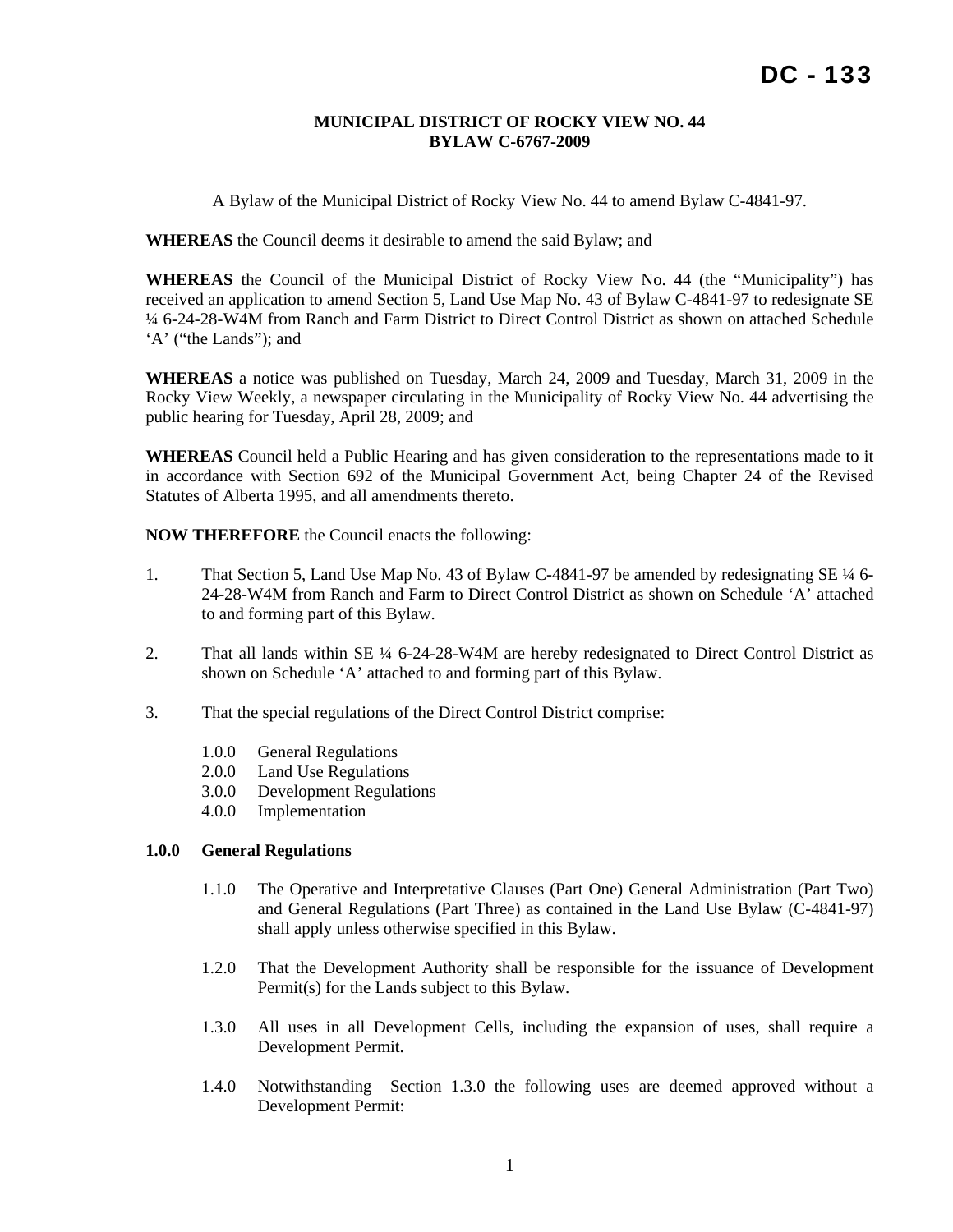## **MUNICIPAL DISTRICT OF ROCKY VIEW NO. 44 BYLAW C-6767-2009**

A Bylaw of the Municipal District of Rocky View No. 44 to amend Bylaw C-4841-97.

**WHEREAS** the Council deems it desirable to amend the said Bylaw; and

**WHEREAS** the Council of the Municipal District of Rocky View No. 44 (the "Municipality") has received an application to amend Section 5, Land Use Map No. 43 of Bylaw C-4841-97 to redesignate SE ¼ 6-24-28-W4M from Ranch and Farm District to Direct Control District as shown on attached Schedule 'A' ("the Lands"); and

**WHEREAS** a notice was published on Tuesday, March 24, 2009 and Tuesday, March 31, 2009 in the Rocky View Weekly, a newspaper circulating in the Municipality of Rocky View No. 44 advertising the public hearing for Tuesday, April 28, 2009; and

**WHEREAS** Council held a Public Hearing and has given consideration to the representations made to it in accordance with Section 692 of the Municipal Government Act, being Chapter 24 of the Revised Statutes of Alberta 1995, and all amendments thereto.

**NOW THEREFORE** the Council enacts the following:

- 1. That Section 5, Land Use Map No. 43 of Bylaw C-4841-97 be amended by redesignating SE ¼ 6- 24-28-W4M from Ranch and Farm to Direct Control District as shown on Schedule 'A' attached to and forming part of this Bylaw.
- 2. That all lands within SE  $\frac{1}{4}$  6-24-28-W4M are hereby redesignated to Direct Control District as shown on Schedule 'A' attached to and forming part of this Bylaw.
- 3. That the special regulations of the Direct Control District comprise:
	- 1.0.0 General Regulations
	- 2.0.0 Land Use Regulations
	- 3.0.0 Development Regulations
	- 4.0.0 Implementation

#### **1.0.0 General Regulations**

- 1.1.0 The Operative and Interpretative Clauses (Part One) General Administration (Part Two) and General Regulations (Part Three) as contained in the Land Use Bylaw (C-4841-97) shall apply unless otherwise specified in this Bylaw.
- 1.2.0 That the Development Authority shall be responsible for the issuance of Development Permit(s) for the Lands subject to this Bylaw.
- 1.3.0 All uses in all Development Cells, including the expansion of uses, shall require a Development Permit.
- 1.4.0 Notwithstanding Section 1.3.0 the following uses are deemed approved without a Development Permit: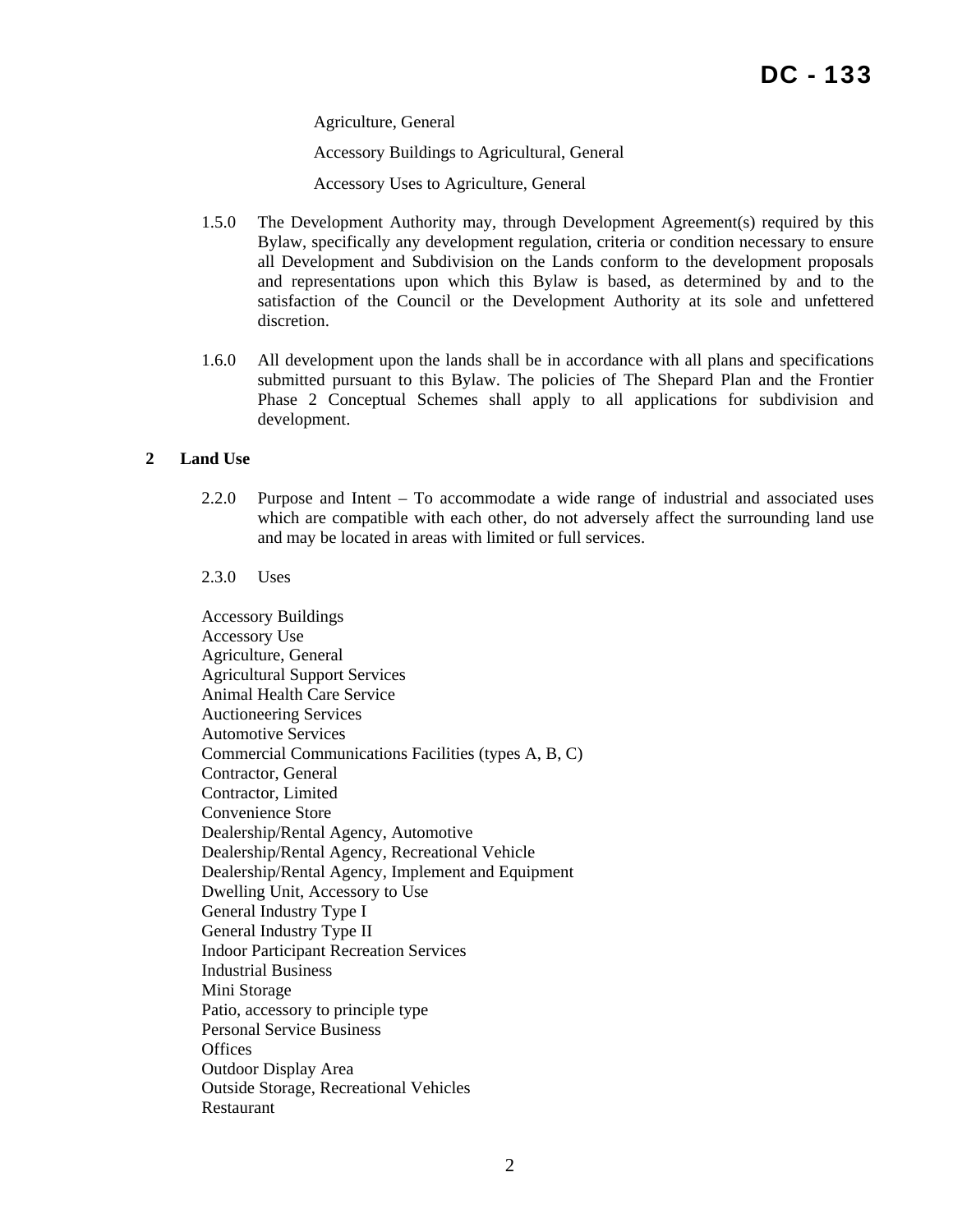Agriculture, General

Accessory Buildings to Agricultural, General

Accessory Uses to Agriculture, General

- 1.5.0 The Development Authority may, through Development Agreement(s) required by this Bylaw, specifically any development regulation, criteria or condition necessary to ensure all Development and Subdivision on the Lands conform to the development proposals and representations upon which this Bylaw is based, as determined by and to the satisfaction of the Council or the Development Authority at its sole and unfettered discretion.
- 1.6.0 All development upon the lands shall be in accordance with all plans and specifications submitted pursuant to this Bylaw. The policies of The Shepard Plan and the Frontier Phase 2 Conceptual Schemes shall apply to all applications for subdivision and development.

# **2 Land Use**

2.2.0 Purpose and Intent – To accommodate a wide range of industrial and associated uses which are compatible with each other, do not adversely affect the surrounding land use and may be located in areas with limited or full services.

2.3.0 Uses

Accessory Buildings Accessory Use Agriculture, General Agricultural Support Services Animal Health Care Service Auctioneering Services Automotive Services Commercial Communications Facilities (types A, B, C) Contractor, General Contractor, Limited Convenience Store Dealership/Rental Agency, Automotive Dealership/Rental Agency, Recreational Vehicle Dealership/Rental Agency, Implement and Equipment Dwelling Unit, Accessory to Use General Industry Type I General Industry Type II Indoor Participant Recreation Services Industrial Business Mini Storage Patio, accessory to principle type Personal Service Business **Offices** Outdoor Display Area Outside Storage, Recreational Vehicles Restaurant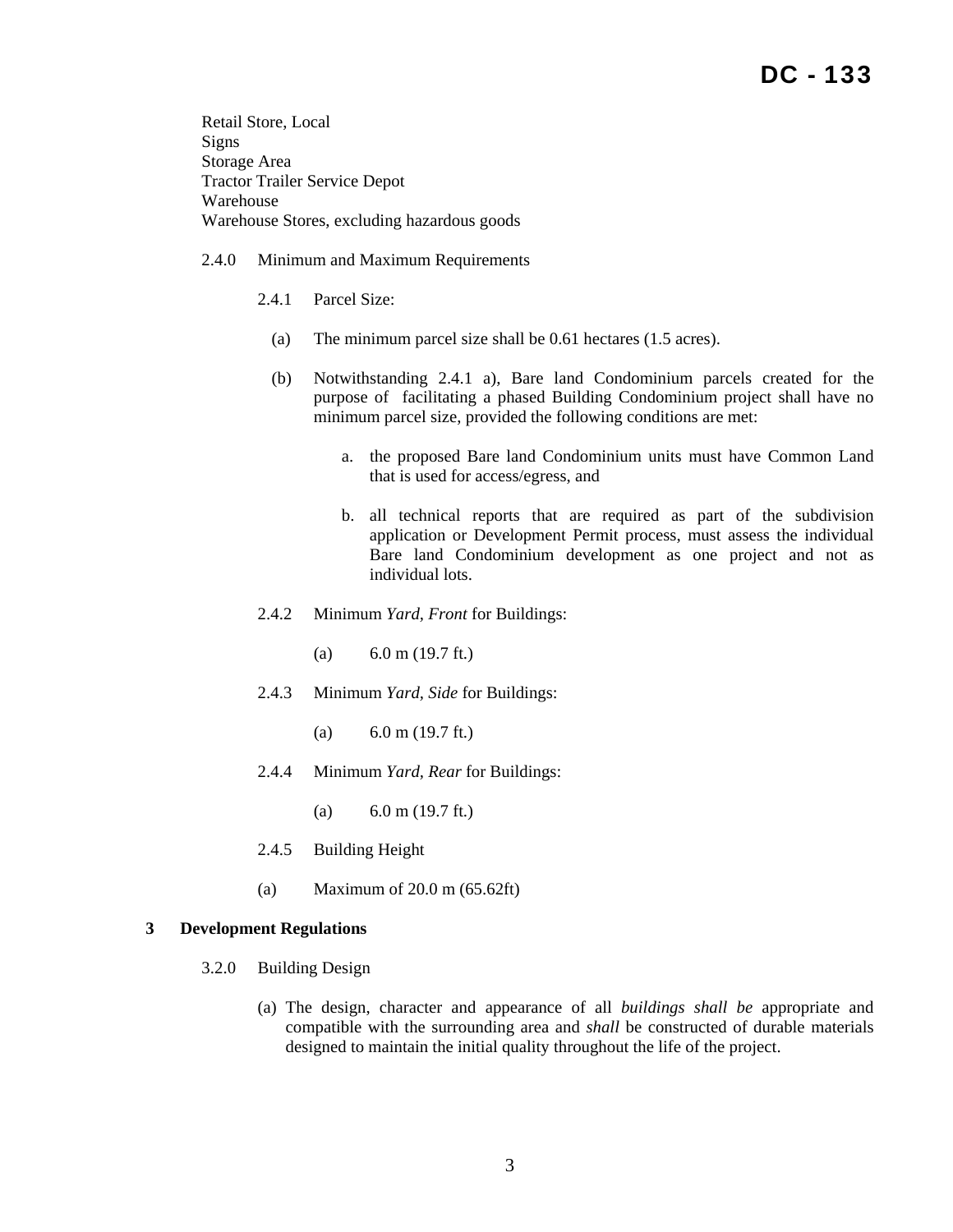Retail Store, Local Signs Storage Area Tractor Trailer Service Depot Warehouse Warehouse Stores, excluding hazardous goods

## 2.4.0 Minimum and Maximum Requirements

- 2.4.1 Parcel Size:
	- (a) The minimum parcel size shall be 0.61 hectares (1.5 acres).
	- (b) Notwithstanding 2.4.1 a), Bare land Condominium parcels created for the purpose of facilitating a phased Building Condominium project shall have no minimum parcel size, provided the following conditions are met:
		- a. the proposed Bare land Condominium units must have Common Land that is used for access/egress, and
		- b. all technical reports that are required as part of the subdivision application or Development Permit process, must assess the individual Bare land Condominium development as one project and not as individual lots.
- 2.4.2 Minimum *Yard, Front* for Buildings:
	- (a)  $6.0 \text{ m}$  (19.7 ft.)
- 2.4.3 Minimum *Yard, Side* for Buildings:
	- (a)  $6.0 \text{ m}$  (19.7 ft.)
- 2.4.4 Minimum *Yard, Rear* for Buildings:
	- (a)  $6.0 \text{ m}$  (19.7 ft.)
- 2.4.5 Building Height
- (a) Maximum of 20.0 m (65.62ft)

#### **3 Development Regulations**

- 3.2.0 Building Design
	- (a) The design, character and appearance of all *buildings shall be* appropriate and compatible with the surrounding area and *shall* be constructed of durable materials designed to maintain the initial quality throughout the life of the project.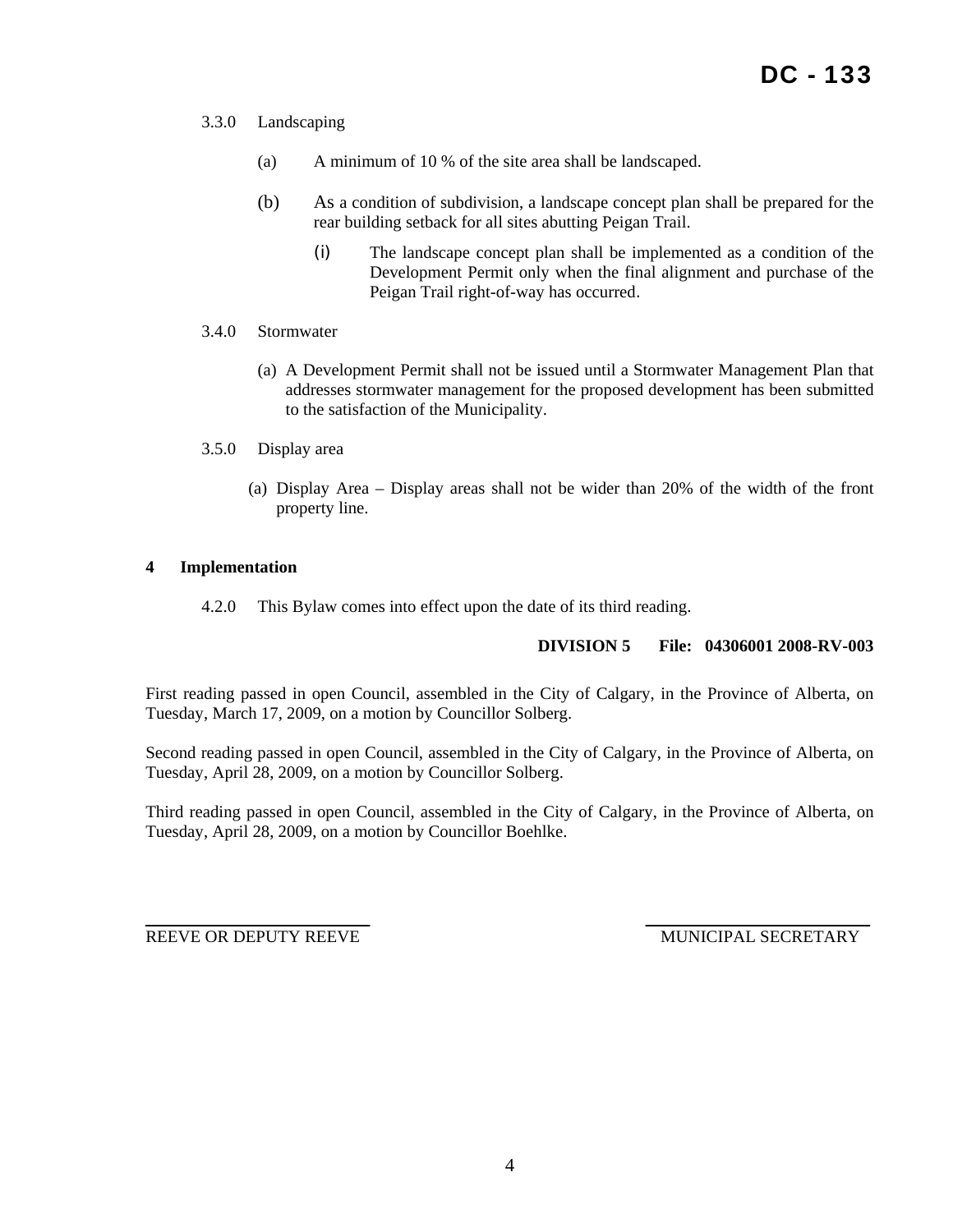- 3.3.0 Landscaping
	- (a) A minimum of 10 % of the site area shall be landscaped.
	- (b) As a condition of subdivision, a landscape concept plan shall be prepared for the rear building setback for all sites abutting Peigan Trail.
		- (i) The landscape concept plan shall be implemented as a condition of the Development Permit only when the final alignment and purchase of the Peigan Trail right-of-way has occurred.
- 3.4.0 Stormwater
	- (a) A Development Permit shall not be issued until a Stormwater Management Plan that addresses stormwater management for the proposed development has been submitted to the satisfaction of the Municipality.
- 3.5.0 Display area
	- (a) Display Area Display areas shall not be wider than 20% of the width of the front property line.

## **4 Implementation**

4.2.0 This Bylaw comes into effect upon the date of its third reading.

# **DIVISION 5 File: 04306001 2008-RV-003**

First reading passed in open Council, assembled in the City of Calgary, in the Province of Alberta, on Tuesday, March 17, 2009, on a motion by Councillor Solberg.

Second reading passed in open Council, assembled in the City of Calgary, in the Province of Alberta, on Tuesday, April 28, 2009, on a motion by Councillor Solberg.

Third reading passed in open Council, assembled in the City of Calgary, in the Province of Alberta, on Tuesday, April 28, 2009, on a motion by Councillor Boehlke.

REEVE OR DEPUTY REEVE MUNICIPAL SECRETARY